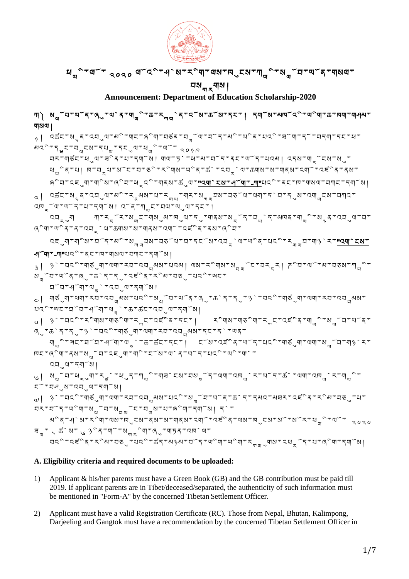

# ཕ ྱི་ལོ་ ༢༠༢༠ ལོའྱི་ཤེས་རྱིག་ལས་ཁུངས་ཀ ྱི་ས ོབ་ཡོན་གསལ་

བས<sub>ག ར</sub>གས། **Announcement: Department of Education Scholarship-2020**

་། སྱོབ་ལོན་ནུ་ལེན་གྱི་க་རྐྱེན་འོས་கོས་དང་། དགོས་མལོའི་ལིག་க་ལག་གྲུभ

 ${}_{\gamma}$ | འക໋ང་སྲན་འབུལ་མི་གང་ནིག་བརོན་བྱོལ་བོད་མི་ལིན་པའི་བོག་དོ་བདག་དང་ཕ་

བར་གཙང་ཕུལ་ཟྱིན་པ་དགོས། གལ་ཏེ་ཕ་མ་བོད་ནང་ཡོད་པའམ། འདས་གྒྲོངས་སུ་  $\mathcal{A}_{\mathfrak{m}}$ ੇ  $\mathfrak{q}$ ा | पग्य $\mathfrak{p}$  থਾ $\mathfrak{p}$   $\mathfrak{p}$   $\mathfrak{p}$   $\mathfrak{p}$   $\mathfrak{p}$   $\mathfrak{p}$   $\mathfrak{p}$   $\mathfrak{p}$   $\mathfrak{p}$   $\mathfrak{p}$   $\mathfrak{p}$   $\mathfrak{p}$   $\mathfrak{p}$   $\mathfrak{p}$   $\mathfrak{p}$   $\mathfrak{p}$   $\mathfrak{p}$   $\mathfr$ 

༢། འཚང་སྙན་འབུལ་མྱི་རྣམས་ལ་ར ་གར་ས བས་བཅོལ་ལག་དེབ་དུས་འག ངས་བཀའ་

ཞྱིབ་འཇུག་གྱིས་ཞྱིབ་ཕྒྲའྱི་གནས་ཚུལ་"[འགེངས་ཤོག་](https://sherig.org/en/wp-content/uploads/2020/02/DoE-Form-A.pdf)-[ཀ"པ](https://sherig.org/en/wp-content/uploads/2020/02/DoE-Form-A.pdf)འྱི་ནང་ཁ་གསལ་བཀང་དགོས།

འབྒྲུག ཀ་ར ོར་ས ང་གསུམ་ཁུལ་དུ་གནས་ས ོད་བ ེད་མཁན་ག ྱི་སྙན་འབུལ་བ་

འངུག་གིས་བོད་མི་སྐྱབས་བནོལ་བ་དངོས་འབྲེལ་ພིན་པའི་རྐྱབ་ག།ེར་<mark>"[འགེངས་](https://sherig.org/en/wp-content/uploads/2020/02/DoE-Form-A.pdf)</mark>

 $\beta$ ៀ  $\beta$ `་བའི་གུནུག་ལག་རབ་འབྱམས་པའམ། ལས་རིགས་སྱྱོང་བརྲར། <mark>ᅎ</mark>ིབ་ལོ་མ་བནས་ཀྱི་

 $\sim$ | གᢌུག་ལག་རབ་འབྱམས་པའི་སྱོབ་ལོན་"(ུ་கེད་དུ་ $\frac{3}{3}$ ་བའི་གརུག་ལག་རབ་འབྱམས་

 $\begin{bmatrix} \alpha & \beta & \alpha \end{bmatrix}$   $\begin{bmatrix} \beta & \alpha & \alpha \end{bmatrix}$   $\begin{bmatrix} \gamma & \gamma & \gamma \end{bmatrix}$   $\begin{bmatrix} \gamma & \gamma & \gamma \end{bmatrix}$   $\begin{bmatrix} \gamma & \gamma & \gamma \end{bmatrix}$   $\begin{bmatrix} \gamma & \gamma & \gamma \end{bmatrix}$   $\begin{bmatrix} \gamma & \gamma & \gamma \end{bmatrix}$   $\begin{bmatrix} \gamma & \gamma & \gamma \end{bmatrix}$   $\begin{bmatrix} \gamma & \gamma & \gamma \end{bmatrix}$   $\begin{bmatrix} \gamma & \gamma & \$ 

༦། ས ོབ་ཕྒྲུག་ར ེ་ཕུད་ཀ ྱི་གཟེངས་བས ོད་ལག་འཁ ེར་ཡོད་ཚེ་ལག་འཁ ེར་ག ྱི་

 $\omega$ │  $\beta$ `་བའི་གརུག་ལག་རབ་འབྱམས་པའི་སྱོབ་ལོན་கེད་དམའ་མབར་འངིན་རིམ་བརུ་པ་

མྱིན་ཤེས་རྱིག་ལས་ཁུངས་ནས་ས་གནས་འགོ་འཛྱིན་ལས་ཁུངས་སོ་སོར་ཕ ྱི་ལོ་ ༢༠༢༠

བའི་འངིན་རིམ་བནུ་པའི་கོད་མβམ་བོད་ਘིག་ਘིག་རྱྱུགས་འཕྲོད་པ་ནིག་དགོས།

གྱི་སང་བོབ་ཕོག་ལུ་་க་མོང་དང་། ངོས་འརོིན་ལོད་པའི་གརུག་ལག་སྱོབ་གᡐེར་

གསལ།

 $\mathsf{A} \mathsf{C}^\circ \mathsf{F} \mathsf{F}_\mathsf{d} \mathsf{C}^\mathsf{r} \mathsf{C}^\mathsf{d} \mathsf{C}^\mathsf{r} \mathsf{C}^\mathsf{d} \mathsf{C}^\mathsf{r} \mathsf{C}^\mathsf{d} \mathsf{C}^\mathsf{r} \mathsf{C}^\mathsf{d} \mathsf{C}^\mathsf{r} \mathsf{C}^\mathsf{d} \mathsf{C}^\mathsf{r} \mathsf{C}^\mathsf{r} \mathsf{C}^\mathsf{r} \mathsf{C}^\mathsf{r} \mathsf{C}^\mathsf{r} \mathsf{C}^\math$ 

འཁྒྲོལ་ཡོད་པ་དགོས། འོན་ཀ ང་བལ་ཡུལ་དང་།

[ཤོག་](https://sherig.org/en/wp-content/uploads/2020/02/DoE-Form-A.pdf)-ཀ"པའྱི་ནང་ཁ་གསལ་བཀང་དགོས།

ཐོབ་ཤོག་ལ ེ་འབུལ་དགོས།

འབུལ་དགོས།

ངོ་བཤུས་འབུལ་དགོས།

པའྱི་ཨང་ཐོབ་ཤོག་ལ ེ་ཆ་ཚང་འབུལ་དགོས།

ଵ<sup></sup>°षा་ལིན་ན་འབྲེལ་ಹགས་ས་གནས་འགོ་འརོིན་ནས་ُُའ་

 ${\bf N}_{\rm q}$ 

 $\mathbb{Q}$ ু "ക $\mathbb{Z}$  বি $\mathbb{Z}$ ু "১) "মন্ত্ৰীষ্ঠুৰা" $\mathbb{Q}$ ম্পাশ্চমে অনুস্থা স্বাধ্য

བར་བོད་ཡྱིག་ས ོབ་ས ོང་བ ས་པ་ཞྱིག་དགོས། དེ་

**A. Eligibility criteria and required documents to be uploaded:**

ヨ<sub>ਜ਼</sub>་ <sub>ᄾ</sub> ക៑ས་ ུ ୨ིན་གོ་སྐྲིག་"ུ་གཏན་འषེལ་

ल्टन्ब्°यान्द्रथन्थ्द्र्यान्य् $\zeta$ यान्य् $\zeta$ न्द्र्थाञ्च्य्ताय् $\zeta$ न्य $\zeta$ न्या $\zeta$ 

- 1) Applicant & his/her parents must have a Green Book (GB) and the GB contribution must be paid till 2019. If applicant parents are in Tibet/deceased/separated, the authenticity of such information must be mentioned i[n "Form-A"](https://sherig.org/en/wp-content/uploads/2020/02/DoE-Form-A.pdf) by the concerned Tibetan Settlement Officer.
- 2) Applicant must have a valid Registration Certificate (RC). Those from Nepal, Bhutan, Kalimpong, Darjeeling and Gangtok must have a recommendation by the concerned Tibetan Settlement Officer in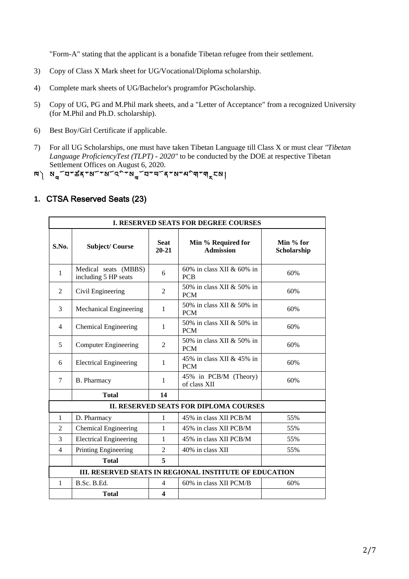"Form-A" stating that the applicant is a bonafide Tibetan refugee from their settlement.

- 3) Copy of Class X Mark sheet for UG/Vocational/Diploma scholarship.
- 4) Complete mark sheets of UG/Bachelor's programfor PGscholarship.
- 5) Copy of UG, PG and M.Phil mark sheets, and a "Letter of Acceptance" from a recognized University (for M.Phil and Ph.D. scholarship).
- 6) Best Boy/Girl Certificate if applicable.
- 7) For all UG Scholarships, one must have taken Tibetan Language till Class X or must clear *"Tibetan Language ProficiencyTest (TLPT) - 2020"* to be conducted by the DOE at respective Tibetan Settlement Offices on August 6, 2020.
- ཁ༽ ས ོབ་ཚན་སོ་སོའྱི་ས ོབ་ཡོན་ས་མྱིག་གྒྲངས།

## **1.** CTSA Reserved Seats (23)

| <b>I. RESERVED SEATS FOR DEGREE COURSES</b> |                                              |                          |                                                        |                          |
|---------------------------------------------|----------------------------------------------|--------------------------|--------------------------------------------------------|--------------------------|
| S.No.                                       | <b>Subject/Course</b>                        | <b>Seat</b><br>$20 - 21$ | Min % Required for<br><b>Admission</b>                 | Min % for<br>Scholarship |
| 1                                           | Medical seats (MBBS)<br>including 5 HP seats | 6                        | 60% in class XII & 60% in<br><b>PCB</b>                | 60%                      |
| 2                                           | Civil Engineering                            | $\overline{2}$           | 50% in class XII & 50% in<br><b>PCM</b>                | 60%                      |
| 3                                           | Mechanical Engineering                       | 1                        | 50% in class XII & 50% in<br><b>PCM</b>                | 60%                      |
| 4                                           | <b>Chemical Engineering</b>                  | 1                        | 50% in class XII & 50% in<br><b>PCM</b>                | 60%                      |
| 5                                           | <b>Computer Engineering</b>                  | $\mathbf{2}$             | 50% in class XII & 50% in<br><b>PCM</b>                | 60%                      |
| 6                                           | <b>Electrical Engineering</b>                | 1                        | 45% in class XII & 45% in<br><b>PCM</b>                | 60%                      |
| 7                                           | B. Pharmacy                                  | 1                        | 45% in PCB/M (Theory)<br>of class XII                  | 60%                      |
|                                             | <b>Total</b>                                 | 14                       |                                                        |                          |
|                                             |                                              |                          | <b>II. RESERVED SEATS FOR DIPLOMA COURSES</b>          |                          |
| 1                                           | D. Pharmacy                                  | 1                        | 45% in class XII PCB/M                                 | 55%                      |
| 2                                           | <b>Chemical Engineering</b>                  | 1                        | 45% in class XII PCB/M                                 | 55%                      |
| 3                                           | <b>Electrical Engineering</b>                | 1                        | 45% in class XII PCB/M                                 | 55%                      |
| $\overline{4}$                              | Printing Engineering                         | $\overline{2}$           | 40% in class XII                                       | 55%                      |
|                                             | <b>Total</b>                                 | 5                        |                                                        |                          |
|                                             |                                              |                          | III. RESERVED SEATS IN REGIONAL INSTITUTE OF EDUCATION |                          |
| $\mathbf{1}$                                | B.Sc. B.Ed.                                  | $\overline{4}$           | 60% in class XII PCM/B                                 | 60%                      |
|                                             | <b>Total</b>                                 | $\boldsymbol{4}$         |                                                        |                          |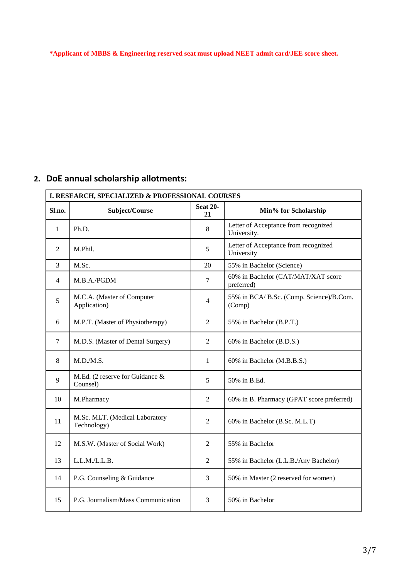**\*Applicant of MBBS & Engineering reserved seat must upload NEET admit card/JEE score sheet.**

# **2. DoE annual scholarship allotments:**

| I. RESEARCH, SPECIALIZED & PROFESSIONAL COURSES |                                               |                       |                                                     |
|-------------------------------------------------|-----------------------------------------------|-----------------------|-----------------------------------------------------|
| Sl.no.                                          | Subject/Course                                | <b>Seat 20-</b><br>21 | Min% for Scholarship                                |
| $\mathbf{1}$                                    | Ph.D.                                         | 8                     | Letter of Acceptance from recognized<br>University. |
| 2                                               | M.Phil.                                       | 5                     | Letter of Acceptance from recognized<br>University  |
| 3                                               | M.Sc.                                         | 20                    | 55% in Bachelor (Science)                           |
| 4                                               | M.B.A./PGDM                                   | $\tau$                | 60% in Bachelor (CAT/MAT/XAT score<br>preferred)    |
| 5                                               | M.C.A. (Master of Computer<br>Application)    | $\overline{4}$        | 55% in BCA/ B.Sc. (Comp. Science)/B.Com.<br>(Comp)  |
| 6                                               | M.P.T. (Master of Physiotherapy)              | 2                     | 55% in Bachelor (B.P.T.)                            |
| 7                                               | M.D.S. (Master of Dental Surgery)             | $\overline{c}$        | 60% in Bachelor (B.D.S.)                            |
| 8                                               | M.D./M.S.                                     | 1                     | 60% in Bachelor (M.B.B.S.)                          |
| 9                                               | M.Ed. (2 reserve for Guidance &<br>Counsel)   | 5                     | 50% in B.Ed.                                        |
| 10                                              | M.Pharmacy                                    | 2                     | 60% in B. Pharmacy (GPAT score preferred)           |
| 11                                              | M.Sc. MLT. (Medical Laboratory<br>Technology) | $\overline{c}$        | 60% in Bachelor (B.Sc. M.L.T)                       |
| 12                                              | M.S.W. (Master of Social Work)                | $\overline{2}$        | 55% in Bachelor                                     |
| 13                                              | L.L.M./L.L.B.                                 | $\overline{2}$        | 55% in Bachelor (L.L.B./Any Bachelor)               |
| 14                                              | P.G. Counseling & Guidance                    | 3                     | 50% in Master (2 reserved for women)                |
| 15                                              | P.G. Journalism/Mass Communication            | 3                     | 50% in Bachelor                                     |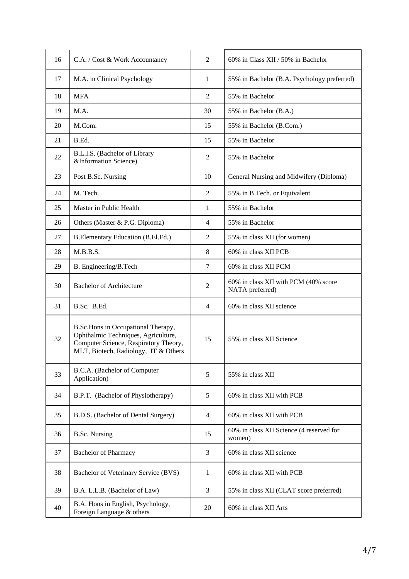| 16 | C.A. / Cost & Work Accountancy                                                                                                                             | $\overline{2}$ | 60% in Class XII / 50% in Bachelor                      |
|----|------------------------------------------------------------------------------------------------------------------------------------------------------------|----------------|---------------------------------------------------------|
| 17 | M.A. in Clinical Psychology                                                                                                                                | 1              | 55% in Bachelor (B.A. Psychology preferred)             |
| 18 | <b>MFA</b>                                                                                                                                                 | $\overline{2}$ | 55% in Bachelor                                         |
| 19 | M.A.                                                                                                                                                       | 30             | 55% in Bachelor (B.A.)                                  |
| 20 | M.Com.                                                                                                                                                     | 15             | 55% in Bachelor (B.Com.)                                |
| 21 | B.Ed.                                                                                                                                                      | 15             | 55% in Bachelor                                         |
| 22 | B.L.I.S. (Bachelor of Library<br>&Information Science)                                                                                                     | 2              | 55% in Bachelor                                         |
| 23 | Post B.Sc. Nursing                                                                                                                                         | 10             | General Nursing and Midwifery (Diploma)                 |
| 24 | M. Tech.                                                                                                                                                   | $\overline{2}$ | 55% in B.Tech. or Equivalent                            |
| 25 | Master in Public Health                                                                                                                                    | 1              | 55% in Bachelor                                         |
| 26 | Others (Master & P.G. Diploma)                                                                                                                             | $\overline{4}$ | 55% in Bachelor                                         |
| 27 | B.Elementary Education (B.El.Ed.)                                                                                                                          | 2              | 55% in class XII (for women)                            |
| 28 | M.B.B.S.                                                                                                                                                   | 8              | 60% in class XII PCB                                    |
| 29 | B. Engineering/B.Tech                                                                                                                                      | $\overline{7}$ | 60% in class XII PCM                                    |
| 30 | <b>Bachelor of Architecture</b>                                                                                                                            | 2              | 60% in class XII with PCM (40% score<br>NATA preferred) |
| 31 | B.Sc. B.Ed.                                                                                                                                                | $\overline{4}$ | 60% in class XII science                                |
| 32 | B.Sc.Hons in Occupational Therapy,<br>Ophthalmic Techniques, Agriculture,<br>Computer Science, Respiratory Theory,<br>MLT, Biotech, Radiology, IT & Others | 15             | 55% in class XII Science                                |
| 33 | B.C.A. (Bachelor of Computer<br>Application)                                                                                                               | 5              | 55% in class XII                                        |
| 34 | B.P.T. (Bachelor of Physiotherapy)                                                                                                                         | 5              | 60% in class XII with PCB                               |
| 35 | B.D.S. (Bachelor of Dental Surgery)                                                                                                                        | 4              | 60% in class XII with PCB                               |
| 36 | <b>B.Sc. Nursing</b>                                                                                                                                       | 15             | 60% in class XII Science (4 reserved for<br>women)      |
| 37 | <b>Bachelor of Pharmacy</b>                                                                                                                                | 3              | 60% in class XII science                                |
| 38 | Bachelor of Veterinary Service (BVS)                                                                                                                       | 1              | 60% in class XII with PCB                               |
| 39 | B.A. L.L.B. (Bachelor of Law)                                                                                                                              | 3              | 55% in class XII (CLAT score preferred)                 |
| 40 | B.A. Hons in English, Psychology,<br>Foreign Language & others                                                                                             | 20             | 60% in class XII Arts                                   |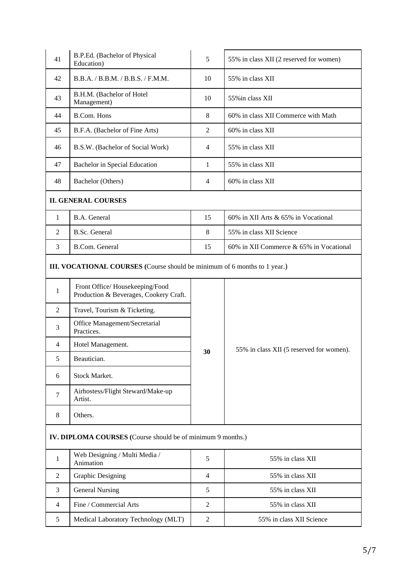| 41                                                                        | B.P.Ed. (Bachelor of Physical<br>Education)                              | 5              | 55% in class XII (2 reserved for women)  |
|---------------------------------------------------------------------------|--------------------------------------------------------------------------|----------------|------------------------------------------|
| 42                                                                        | B.B.A. / B.B.M. / B.B.S. / F.M.M.                                        | 10             | 55% in class XII                         |
| 43                                                                        | B.H.M. (Bachelor of Hotel<br>Management)                                 | 10             | 55% in class XII                         |
| 44                                                                        | <b>B.Com. Hons</b>                                                       | $\,8\,$        | 60% in class XII Commerce with Math      |
| 45                                                                        | B.F.A. (Bachelor of Fine Arts)                                           | $\overline{2}$ | 60% in class XII                         |
| 46                                                                        | B.S.W. (Bachelor of Social Work)                                         | 4              | 55% in class XII                         |
| 47                                                                        | <b>Bachelor</b> in Special Education                                     | 1              | 55% in class XII                         |
| 48                                                                        | Bachelor (Others)                                                        | 4              | 60% in class XII                         |
|                                                                           | <b>II. GENERAL COURSES</b>                                               |                |                                          |
| $\mathbf{1}$                                                              | B.A. General                                                             | 15             | 60% in XII Arts & 65% in Vocational      |
| 2                                                                         | B.Sc. General                                                            | $\,8\,$        | 55% in class XII Science                 |
| 3                                                                         | <b>B.Com.</b> General                                                    | 15             | 60% in XII Commerce & 65% in Vocational  |
| III. VOCATIONAL COURSES (Course should be minimum of 6 months to 1 year.) |                                                                          |                |                                          |
| 1                                                                         | Front Office/Housekeeping/Food<br>Production & Beverages, Cookery Craft. |                |                                          |
| 2                                                                         | Travel, Tourism & Ticketing.                                             |                |                                          |
| 3                                                                         | Office Management/Secretarial<br>Practices.                              |                |                                          |
| 4                                                                         | Hotel Management.                                                        | 30             | 55% in class XII (5 reserved for women). |
| 5                                                                         | Beautician.                                                              |                |                                          |
| 6                                                                         | Stock Market.                                                            |                |                                          |
| $\tau$                                                                    | Airhostess/Flight Steward/Make-up<br>Artist.                             |                |                                          |
| 8                                                                         | Others.                                                                  |                |                                          |
| IV. DIPLOMA COURSES (Course should be of minimum 9 months.)               |                                                                          |                |                                          |
| $\mathbf{1}$                                                              | Web Designing / Multi Media /<br>Animation                               | 5              | 55% in class XII                         |
| $\overline{c}$                                                            | <b>Graphic Designing</b>                                                 | $\overline{4}$ | 55% in class XII                         |
| 3                                                                         | <b>General Nursing</b>                                                   | 5              | 55% in class XII                         |
| 4                                                                         | Fine / Commercial Arts                                                   | $\mathfrak{2}$ | 55% in class XII                         |
| 5                                                                         | Medical Laboratory Technology (MLT)                                      | $\mathfrak{2}$ | 55% in class XII Science                 |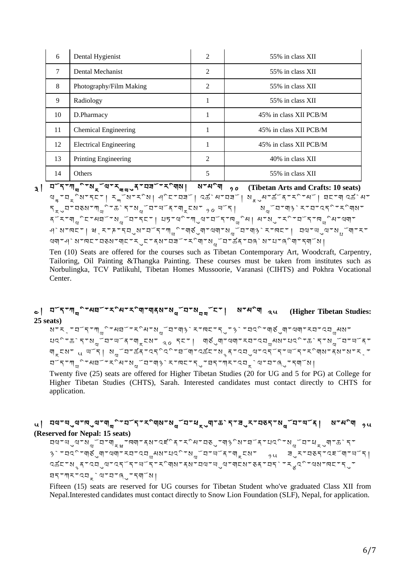| 6  | Dental Hygienist              | $\overline{2}$ | 55% in class XII       |
|----|-------------------------------|----------------|------------------------|
| 7  | Dental Mechanist              | $\overline{2}$ | 55% in class XII       |
| 8  | Photography/Film Making       | 2              | 55% in class XII       |
| 9  | Radiology                     |                | 55% in class XII       |
| 10 | D.Pharmacy                    | 1              | 45% in class XII PCB/M |
| 11 | <b>Chemical Engineering</b>   | 1              | 45% in class XII PCB/M |
| 12 | <b>Electrical Engineering</b> | 1              | 45% in class XII PCB/M |
| 13 | Printing Engineering          | $\overline{2}$ | 40% in class XII       |
| 14 | <b>Others</b>                 | 5              | 55% in class XII       |

 $\frac{1}{3}$ <sup> $\frac{1}{\pi}$ </sup> $\frac{1}{\pi}$  $\frac{1}{\pi}$  $\frac{1}{\pi}$  $\frac{1}{\pi}$  $\frac{1}{\pi}$  $\frac{1}{\pi}$  $\frac{1}{\pi}$  $\frac{1}{\pi}$  $\frac{1}{\pi}$  $\frac{1}{\pi}$  $\frac{1}{\pi}$  $\frac{1}{\pi}$  $\frac{1}{\pi}$  $\frac{1}{\pi}$  $\frac{1}{\pi}$  $\frac{1}{\pi}$  $\frac{1}{\pi}$  $\frac{1}{\pi}$  $\frac{1}{\pi}$  $\frac{1}{\pi}$ થ $\frac{1}{3}$ ୍ଷ $\frac{1}{3}$ ୍ଷ $\frac{1}{3}$ ୍ଷ $\frac{1}{3}$ ୍ଷ $\frac{1}{3}$ ୍ଷ $\frac{1}{3}$ ୍ଷ $\frac{1}{3}$ ୍ଷ $\frac{1}{3}$ ୍ଷ $\frac{1}{3}$ ୍ଷ $\frac{1}{3}$ ୍ଷ $\frac{1}{3}$ ୍ଷ $\frac{1}{3}$ ୍ଷ $\frac{1}{3}$ ୍ଷ $\frac{1}{3}$ ୍ଷ  $\mathcal{F}_{\pi}$ ৢབ་བᢌས་ཀྱི་ཆེད་སྱོབ་ལོན་གྲངས་  $\mathcal{F}_{9}$  ལོད། སྱོབ་ག།ི་ར་བ་འདི་རིགས་ ِ จ<sup>์</sup> الْمَاسِمِينَ الْمَاسِمِينَ وَالْمَاسِمِينَ مِنْ الْمُسْتَمَاسِمِينَ وَالْمَاسِمِينَ مِنْ الْمَاسِمِينَ<br>مَاسِمِينَ مِنْ الْمَاسِمِينَ وَالْمَاسِمِينَ وَالْمَاسِمِينَ وَالْمَاسِمِينَ وَالْمَاسِمِينَ وَالْمَاسِمِينَ ཤེས་ཁང་། ཝཱར་ཎ་དབུས་བོད་ཀ ྱི་གཙུག་ལག་ས ོབ་གཉེར་ཁང་། བལ་ཡུལ་ས ོག་ར་ থমান্ণ মান্দ্ৰত্যৰ মাত্ৰ বিষ্ণা বিষ্ণা বিষ্ণু বিজিৰ বিষ্ণা বিষ্ণা বি

Ten (10) Seats are offered for the courses such as Tibetan Contemporary Art, Woodcraft, Carpentry, Tailoring, Oil Painting &Thangka Painting. These courses must be taken from institutes such as Norbulingka, TCV Patlikuhl, Tibetan Homes Mussoorie, Varanasi (CIHTS) and Pokhra Vocational Center.

## ༤། བོད་ཀ ྱི་མཐོ་རྱིམ་རྱིག་གནས་ས ོབ་ས ོང་། ས་མྱིག ༢༥ **(Higher Tibetan Studies: 25 seats)**

ས་རྲ་བོད་ཀྱི་མབོ་རིམ་སྱོབ་ག། $\delta$ ེར་ಗང་དུ་ $\delta$ ེ་བའི་གུནུག་ལག་རབ་འབྱུམས་ པའྱི་ཆེད་ས ོབ་ཡོན་གྒྲངས་ ༢༠ དང་། གཙུག་ལག་རབ་འབ མས་པའྱི་ཆེད་ས ོབ་ཡོན་ <u>ण्</u>टूरूथा स्थान । अ<sub>थ</sub>ँ घाऊँ दादर्दर्भाषा पर्छन्छ, दाद्युषादर्दनाथा दार्थान्छ। देशालाम् प् བོད་ཀ ྱི་མཐོ་རྱིམ་ས ོབ་གཉེར་ཁང་དུ་ཐད་ཀར་འབྒྲེལ་བ་ཞུ་དགོས།

Twenty five (25) seats are offered for Higher Tibetan Studies (20 for UG and 5 for PG) at College for Higher Tibetan Studies (CHTS), Sarah. Interested candidates must contact directly to CHTS for application.

### ៶| ঘথাখৢথাদ্থবান্<sub>থ</sub>ীস্থাস্থ<sub>ণ</sub>ঁবাস্থ<sub>ণ</sub>ঁবাধ<sub>ন</sub>্বাকি`বাৰ্<sub>ব</sub>াত্বাপ<sub>থ</sub>ঁবাখী ৷ মাধ<sup>্</sup>ণ <sub>›</sub>৻ **(Reserved for Nepal: 15 seats)**

བལ་ཡུལ་ས ོབ་གྒྲྭ་ཁག་ནས་འཛྱིན་རྱིམ་བཅུ་གཉྱིས་ཐོན་པའྱི་ས ོབ་ཕྒྲུག་ཆེད་  $\beta$ `་བའི་གུནུག་ལག་རབ་འབྱམས་པའི་སྱོབ་ལོན་གྲངས་  $\beta$ ུལ ョུར་བུད་འངོག་ལོད│ འཚང་སྙན་འབུལ་འདོད་ཡོད་རྱིགས་ནས་བལ་ཡུལ་གངས་ཅན་བདེ་ར འྱི་ལས་ཁང་དུ་ ཐད་ཀར་འབྒྲེལ་བ་ཞུ་དགོས།

Fifteen (15) seats are reserved for UG courses for Tibetan Student who've graduated Class XII from Nepal.Interested candidates must contact directly to Snow Lion Foundation (SLF), Nepal, for application.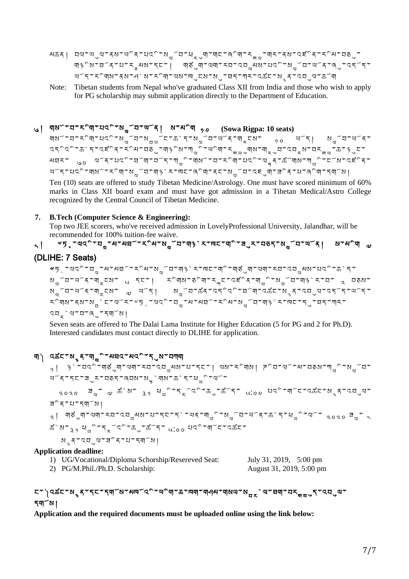- མகན། བལ་ལུལ་ནས་ལིན་པའི་སྱོབ་ཕྲུག་གང་ནིག་རྱྱ་གར་ནས་འརོིན་རིམ་བᢌུ་ གཉྱིས་ཐོན་པ་རྣམས་དང་། གཙུག་ལག་རབ་འབ མས་པའྱི་ས ོབ་ཡོན་ཞུ་འདོད་ ཡོད་རྱིགས་ནས་ཤེས་རྱིག་ལས་ཁུངས་སུ་ཐད་ཀར་འཚང་སྙན་འབུལ་ཆོག
- Note: Tibetan students from Nepal who've graduated Class XII from India and those who wish to apply for PG scholarship may submit application directly to the Department of Education.

# ༦། གསོ་བ་རྱིག་པའྱི་ས ོབ་ཡོན། ས་མྱིག ༡༠ **(Sowa Rigpa: 10 seats)**

གསོ་བ་རིག་པའི་སྱོབ་སྲྱོང་கེད་སྱོབ་ལོན་གྲངས་ <sub>᠀</sub> ལོད། སྱོབ་ལོན་ འདིའི་རྱེད་འངིན་རོིམ་བརུ་གཕྱིས་ཀྱི་ལིག་རྱྱུགས་གྲུབ་འབྲས་བརྱྱ་རྱ་ $\beta$ ུང་ མघར་ ུⴰ ལོན་པའི་བོག་བོད་ཀྱི་གསོ་བ་རིག་པའི་ལྲན་ऊོགས་ཀྱི་ངོས་འརོན་ ୴ོད་པའི་གསོ་རིག་སྱོབ་ག།ི་ར་ལང་ནིག་ནང་སྱོབ་འངུག་<code>ᠴ៝</code>ན་པ་ནིག་དགོས།

Ten (10) seats are offered to study Tibetan Medicine/Astrology. One must have scored minimum of 60% marks in Class XII board exam and must have got admission in a Tibetan Medical/Astro College recognized by the Central Council of Tibetan Medicine.

#### **7. B.Tech (Computer Science & Engineering):**

Top two JEE scorers, who've received admission in LovelyProfessional University, Jalandhar, will be recommended for 100% tuition-fee waive.

# ད། <sup>৶</sup>ঢ়ৢ་ལའི་བྱ་མ་མघོ་རིམ་སྱོབ་ག།ིར་দང་གི་བུར་བནད་སྱོབ་ལོན། ས་མིག <sub>ལ</sub>

## (DLIHE: 7 Seats)

୶ҕ<sub>ざ</sub>་ལའི་བྱ་མ་མབོ་རིམ་སྱོབ་ག།ི་ར་ལང་གི་གུནུག་ལག་རབ་འབྱམས་པའི་கེད་ ས<sub>ལ</sub>ོབ་ལོན་གྲངས་ ུ དང་། རིགས་ནིག་རྐང་འརོིན་གྱི་སྱོབ་གᡐེར་བ་ ྲ བནས་ ଷ<sub>ଘ</sub>ོབ་ལོན་གྲངས་ لَ ལོད། སྱོབ་கོན་འདིའི་བོག་འಹོང་སྲན་འབུལ་འདོད་ལོད་ རིགས་ནས་སਜེང་ལོར་ལདྲ་ལའི་བྱ་མ་མབོ་རིམ་སྱོབ་གལེར་ལང་དུ་བད་ཀར་ འབྒྲེལ་བ་ཞུ་དགོས།

Seven seats are offered to The Dalai Lama Institute for Higher Education (5 for PG and 2 for Ph.D). Interested candidates must contact directly to DLIHE for application.

# གེ འམོང་སྲན་གྱི་མབའ་མའི་དུས་བཀག

 $\beta$ ়|  $\beta$ ঁ་བའི་གརུག་ལག་རབ་འབྱམས་པ་དང་། ལས་རིགས།  $\vec{r}$ ིབ་ལོ་མ་བརས་ཀྱི་སྱོབ་ ཡོན་དང་ཟུར་བཅད་ཞབས་ས ེགས་ཆེད་ཕ ྱི་ལོ་  $\sim$ ಂ $\sim$   $\sigma$   $\rm{d}$   $\sigma$   $\rm{d}$ ੰ $\rm{N}$   $\rm{d}$   $\rm{d}$ ್ $\rm{d}$ ್ $\rm{d}$ ್ $\rm{d}$ ್ $\rm{d}$ ್ $\rm{d}$  $\rm{d}$  $\rm{d}$  $\rm{d}$  $\rm{d}$  $\rm{d}$  $\rm{d}$  $\rm{d}$  $\rm{d}$  $\rm{d}$  $\rm{d}$  $\rm{d}$  $\rm{d}$  $\rm{d}$  $\rm{d}$  $\rm{d}$  $\rm{d}$  $\rm{d}$ ཟྱིན་པ་དགོས། ༢། གཙུག་ལག་རབ་འབ མས་པ་དང་དེ་ཡན་ག ྱི་ས ོབ་ཡོན་ཆེད་ཕ ྱི་ལོ་ ༢༠༢༠ ཟ ་ ༨ ಹೆಾಗ್ಡ್, ಚ್ಛ<sup>ಾ</sup>ಗ್ಸ್ಟ್ರ್ ಪ್ಲೈನ್ ಟಿ $\sigma$ ೂ ಚರ್ನಿಸ್ಟ್ರ್ ಇರ್ಪ್ಲೆ  $N, \pi, \pi, \pi, \pi, \pi, \pi, \pi$ ाथा $\pi$ 

#### **Application deadline:**

| 1) UG/Vocational/Diploma Schorship/Resereved Seat: | July 31, 2019, $5:00 \text{ pm}$ |
|----------------------------------------------------|----------------------------------|
| 2) PG/M.Phil./Ph.D. Scholarship:                   | August 31, 2019, 5:00 pm         |

## ང་།འ๘ང་སྲན་དང་དགོས་མགོའི་ལིག་க་ஙག་གཔལ་གསལ་སྲྲེལ་བག་བརྐྱུད་འབུལ་ དགོས།

**Application and the required documents must be uploaded online using the link below:**